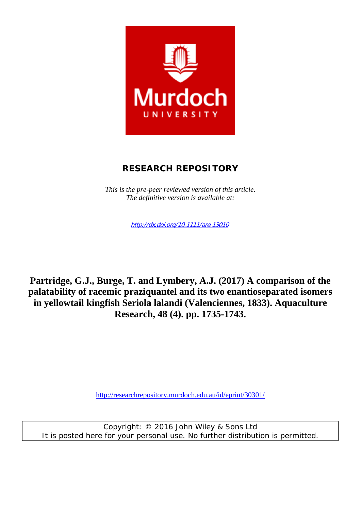

# **RESEARCH REPOSITORY**

*This is the pre-peer reviewed version of this article. The definitive version is available at:* 

http://dx.doi.org/10.1111/are.13010

**Partridge, G.J., Burge, T. and Lymbery, A.J. (2017) A comparison of the palatability of racemic praziquantel and its two enantioseparated isomers in yellowtail kingfish Seriola lalandi (Valenciennes, 1833). Aquaculture Research, 48 (4). pp. 1735-1743.** 

http://researchrepository.murdoch.edu.au/id/eprint/30301/

Copyright: © 2016 John Wiley & Sons Ltd It is posted here for your personal use. No further distribution is permitted.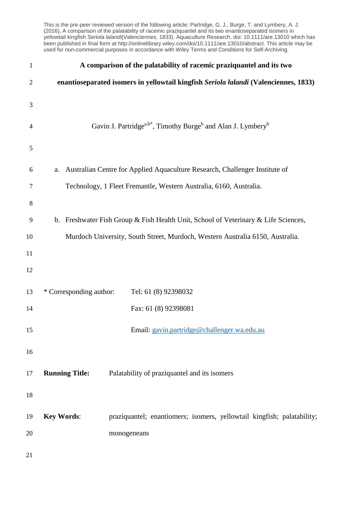This is the pre-peer reviewed version of the following article: Partridge, G. J., Burge, T. and Lymbery, A. J. (2016), A comparison of the palatability of racemic praziquantel and its two enantioseparated isomers in yellowtail kingfish *Seriola lalandi*(Valenciennes, 1833). Aquaculture Research. doi: 10.1111/are.13010 which has been published in final form at http://onlinelibrary.wiley.com/doi/10.1111/are.13010/abstract. This article may be used for non-commercial purposes in accordance with Wiley Terms and Conditions for Self-Archiving.

| $\mathbf{1}$   | A comparison of the palatability of racemic praziquantel and its two                             |
|----------------|--------------------------------------------------------------------------------------------------|
| $\overline{2}$ | enantioseparated isomers in yellowtail kingfish Seriola lalandi (Valenciennes, 1833)             |
| 3              |                                                                                                  |
| 4              | Gavin J. Partridge <sup>a,b*</sup> , Timothy Burge <sup>b</sup> and Alan J. Lymbery <sup>b</sup> |
|                |                                                                                                  |
| $\mathfrak s$  |                                                                                                  |
| 6              | Australian Centre for Applied Aquaculture Research, Challenger Institute of<br>a.                |
| 7              | Technology, 1 Fleet Fremantle, Western Australia, 6160, Australia.                               |
| $8\,$          |                                                                                                  |
| 9              | b. Freshwater Fish Group & Fish Health Unit, School of Veterinary & Life Sciences,               |
| 10             | Murdoch University, South Street, Murdoch, Western Australia 6150, Australia.                    |
| 11             |                                                                                                  |
| 12             |                                                                                                  |
| 13             | * Corresponding author:<br>Tel: 61 (8) 92398032                                                  |
| 14             | Fax: 61 (8) 92398081                                                                             |
|                |                                                                                                  |
| 15             | Email: gavin.partridge@challenger.wa.edu.au                                                      |
| 16             |                                                                                                  |
| 17             | <b>Running Title:</b><br>Palatability of praziquantel and its isomers                            |
| 18             |                                                                                                  |
| 19             | <b>Key Words:</b><br>praziquantel; enantiomers; isomers, yellowtail kingfish; palatability;      |
| 20             | monogeneans                                                                                      |
|                |                                                                                                  |
| 21             |                                                                                                  |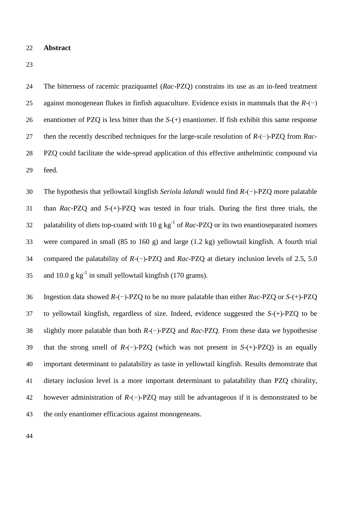#### **Abstract**

 The bitterness of racemic praziquantel (*Rac-*PZQ) constrains its use as an in-feed treatment against monogenean flukes in finfish aquaculture. Evidence exists in mammals that the *R-*(−) enantiomer of PZQ is less bitter than the *S-*(+) enantiomer. If fish exhibit this same response then the recently described techniques for the large-scale resolution of *R-*(−)-PZQ from *Rac-* PZQ could facilitate the wide-spread application of this effective anthelmintic compound via feed.

 The hypothesis that yellowtail kingfish *Seriola lalandi* would find *R-*(−)-PZQ more palatable than *Rac-*PZQ and *S-*(+)-PZQ was tested in four trials. During the first three trials, the palatability of diets top-coated with 10 g kg-1 of *Rac-*PZQ or its two enantioseparated isomers were compared in small (85 to 160 g) and large (1.2 kg) yellowtail kingfish. A fourth trial compared the palatability of *R-*(−)-PZQ and *Rac-*PZQ at dietary inclusion levels of 2.5, 5.0 35 and 10.0 g  $kg^{-1}$  in small yellowtail kingfish (170 grams).

 Ingestion data showed *R-*(−)-PZQ to be no more palatable than either *Rac-*PZQ or *S-*(+)-PZQ to yellowtail kingfish, regardless of size. Indeed, evidence suggested the *S-*(+)-PZQ to be slightly more palatable than both *R-*(−)-PZQ and *Rac-*PZQ. From these data we hypothesise that the strong smell of *R-*(−)-PZQ (which was not present in *S-*(+)-PZQ) is an equally important determinant to palatability as taste in yellowtail kingfish. Results demonstrate that dietary inclusion level is a more important determinant to palatability than PZQ chirality, however administration of *R-*(−)-PZQ may still be advantageous if it is demonstrated to be the only enantiomer efficacious against monogeneans.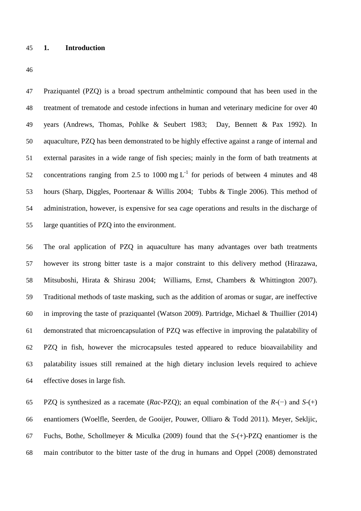#### **1. Introduction**

 Praziquantel (PZQ) is a broad spectrum anthelmintic compound that has been used in the treatment of trematode and cestode infections in human and veterinary medicine for over 40 years (Andrews, Thomas, Pohlke & Seubert 1983; Day, Bennett & Pax 1992). In aquaculture, PZQ has been demonstrated to be highly effective against a range of internal and external parasites in a wide range of fish species; mainly in the form of bath treatments at 52 concentrations ranging from 2.5 to 1000 mg  $L^{-1}$  for periods of between 4 minutes and 48 hours (Sharp, Diggles, Poortenaar & Willis 2004; Tubbs & Tingle 2006). This method of administration, however, is expensive for sea cage operations and results in the discharge of large quantities of PZQ into the environment.

 The oral application of PZQ in aquaculture has many advantages over bath treatments however its strong bitter taste is a major constraint to this delivery method (Hirazawa, Mitsuboshi, Hirata & Shirasu 2004; Williams, Ernst, Chambers & Whittington 2007). Traditional methods of taste masking, such as the addition of aromas or sugar, are ineffective in improving the taste of praziquantel (Watson 2009). Partridge, Michael & Thuillier (2014) demonstrated that microencapsulation of PZQ was effective in improving the palatability of PZQ in fish, however the microcapsules tested appeared to reduce bioavailability and palatability issues still remained at the high dietary inclusion levels required to achieve effective doses in large fish.

 PZQ is synthesized as a racemate (*Rac-*PZQ); an equal combination of the *R-*(−) and *S-*(+) enantiomers (Woelfle, Seerden, de Gooijer, Pouwer, Olliaro & Todd 2011). Meyer, Sekljic, Fuchs, Bothe, Schollmeyer & Miculka (2009) found that the *S*-(+)-PZQ enantiomer is the main contributor to the bitter taste of the drug in humans and Oppel (2008) demonstrated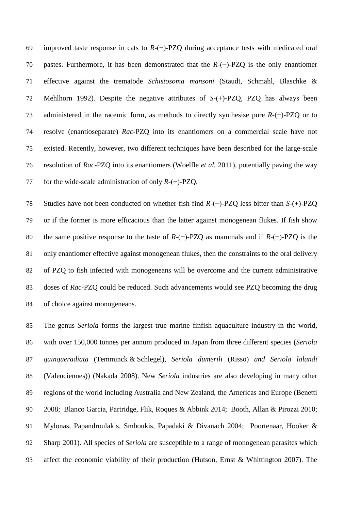improved taste response in cats to *R-*(−)-PZQ during acceptance tests with medicated oral pastes. Furthermore, it has been demonstrated that the *R-*(−)-PZQ is the only enantiomer effective against the trematode *Schistosoma mansoni* (Staudt, Schmahl, Blaschke & Mehlhorn 1992). Despite the negative attributes of *S*-(+)-PZQ, PZQ has always been administered in the racemic form, as methods to directly synthesise pure *R-*(−)-PZQ or to resolve (enantioseparate) *Rac-*PZQ into its enantiomers on a commercial scale have not existed. Recently, however, two different techniques have been described for the large-scale resolution of *Rac-*PZQ into its enantiomers (Woelfle *et al.* 2011), potentially paving the way for the wide-scale administration of only *R-*(−)-PZQ.

 Studies have not been conducted on whether fish find *R-*(−)-PZQ less bitter than *S*-(+)-PZQ or if the former is more efficacious than the latter against monogenean flukes. If fish show the same positive response to the taste of *R-*(−)-PZQ as mammals and if *R-*(−)-PZQ is the only enantiomer effective against monogenean flukes, then the constraints to the oral delivery of PZQ to fish infected with monogeneans will be overcome and the current administrative doses of *Rac-*PZQ could be reduced. Such advancements would see PZQ becoming the drug of choice against monogeneans.

 The genus *Seriola* forms the largest true marine finfish aquaculture industry in the world, with over 150,000 tonnes per annum produced in Japan from three different species (*Seriola quinqueradiata* (Temminck & Schlegel), *Seriola dumerili* (Risso) *and Seriola lalandi* (Valenciennes)) (Nakada 2008). New *Seriola* industries are also developing in many other regions of the world including Australia and New Zealand, the Americas and Europe (Benetti 2008; Blanco Garcia, Partridge, Flik, Roques & Abbink 2014; Booth, Allan & Pirozzi 2010; Mylonas, Papandroulakis, Smboukis, Papadaki & Divanach 2004; Poortenaar, Hooker & Sharp 2001). All species of *Seriola* are susceptible to a range of monogenean parasites which affect the economic viability of their production (Hutson, Ernst & Whittington 2007). The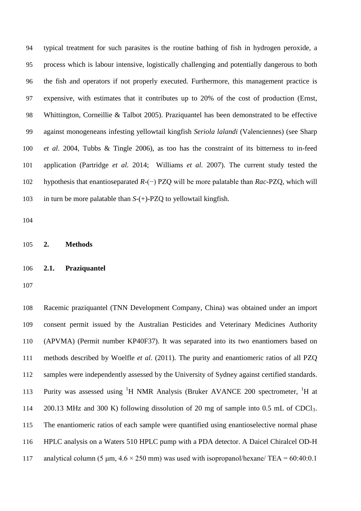typical treatment for such parasites is the routine bathing of fish in hydrogen peroxide, a process which is labour intensive, logistically challenging and potentially dangerous to both the fish and operators if not properly executed. Furthermore, this management practice is expensive, with estimates that it contributes up to 20% of the cost of production (Ernst, Whittington, Corneillie & Talbot 2005). Praziquantel has been demonstrated to be effective against monogeneans infesting yellowtail kingfish *Seriola lalandi* (Valenciennes) (see Sharp *et al*. 2004, Tubbs & Tingle 2006), as too has the constraint of its bitterness to in-feed application (Partridge *et al.* 2014; Williams *et al.* 2007). The current study tested the hypothesis that enantioseparated *R-*(−) PZQ will be more palatable than *Rac*-PZQ, which will in turn be more palatable than *S*-(+)-PZQ to yellowtail kingfish.

**2. Methods**

## **2.1. Praziquantel**

 Racemic praziquantel (TNN Development Company, China) was obtained under an import consent permit issued by the Australian Pesticides and Veterinary Medicines Authority (APVMA) (Permit number KP40F37). It was separated into its two enantiomers based on methods described by Woelfle *et al*. (2011). The purity and enantiomeric ratios of all PZQ samples were independently assessed by the University of Sydney against certified standards. 113 Purity was assessed using <sup>1</sup>H NMR Analysis (Bruker AVANCE 200 spectrometer, <sup>1</sup>H at 200.13 MHz and 300 K) following dissolution of 20 mg of sample into 0.5 mL of CDCl3. The enantiomeric ratios of each sample were quantified using enantioselective normal phase HPLC analysis on a Waters 510 HPLC pump with a PDA detector. A Daicel Chiralcel OD-H 117 analytical column (5  $\mu$ m, 4.6  $\times$  250 mm) was used with isopropanol/hexane/ TEA = 60:40:0.1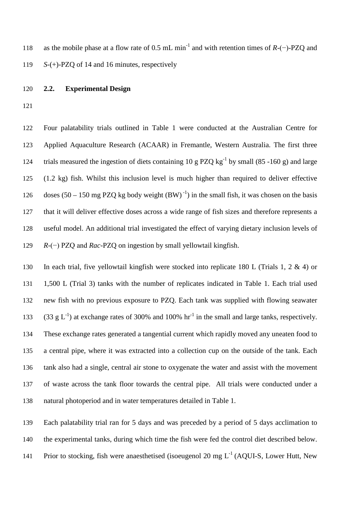118 as the mobile phase at a flow rate of 0.5 mL min<sup>-1</sup> and with retention times of *R-*(−)-PZQ and *S*-(+)-PZQ of 14 and 16 minutes, respectively

### **2.2. Experimental Design**

 Four palatability trials outlined in Table 1 were conducted at the Australian Centre for Applied Aquaculture Research (ACAAR) in Fremantle, Western Australia. The first three trials measured the ingestion of diets containing 10 g PZQ  $\text{kg}^{-1}$  by small (85 -160 g) and large (1.2 kg) fish. Whilst this inclusion level is much higher than required to deliver effective 126 doses  $(50 - 150 \text{ mg PZQ kg body weight} (BW)^{-1})$  in the small fish, it was chosen on the basis that it will deliver effective doses across a wide range of fish sizes and therefore represents a useful model. An additional trial investigated the effect of varying dietary inclusion levels of *R-*(−) PZQ and *Rac-*PZQ on ingestion by small yellowtail kingfish.

 In each trial, five yellowtail kingfish were stocked into replicate 180 L (Trials 1, 2 & 4) or 1,500 L (Trial 3) tanks with the number of replicates indicated in Table 1. Each trial used new fish with no previous exposure to PZQ. Each tank was supplied with flowing seawater 133 (33 g  $L^{-1}$ ) at exchange rates of 300% and 100% hr<sup>-1</sup> in the small and large tanks, respectively. These exchange rates generated a tangential current which rapidly moved any uneaten food to a central pipe, where it was extracted into a collection cup on the outside of the tank. Each tank also had a single, central air stone to oxygenate the water and assist with the movement of waste across the tank floor towards the central pipe. All trials were conducted under a natural photoperiod and in water temperatures detailed in Table 1.

 Each palatability trial ran for 5 days and was preceded by a period of 5 days acclimation to the experimental tanks, during which time the fish were fed the control diet described below. 141 Prior to stocking, fish were anaesthetised (isoeugenol 20 mg  $L^{-1}$  (AOUI-S, Lower Hutt, New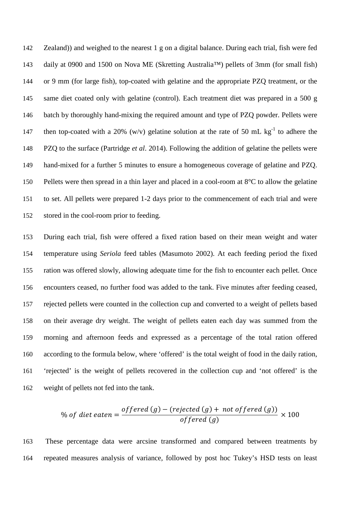Zealand)) and weighed to the nearest 1 g on a digital balance. During each trial, fish were fed daily at 0900 and 1500 on Nova ME (Skretting Australia™) pellets of 3mm (for small fish) or 9 mm (for large fish), top-coated with gelatine and the appropriate PZQ treatment, or the same diet coated only with gelatine (control). Each treatment diet was prepared in a 500 g 146 batch by thoroughly hand-mixing the required amount and type of PZQ powder. Pellets were 147 then top-coated with a 20% (w/v) gelatine solution at the rate of 50 mL  $kg^{-1}$  to adhere the PZQ to the surface (Partridge *et al*. 2014). Following the addition of gelatine the pellets were hand-mixed for a further 5 minutes to ensure a homogeneous coverage of gelatine and PZQ. Pellets were then spread in a thin layer and placed in a cool-room at 8°C to allow the gelatine to set. All pellets were prepared 1-2 days prior to the commencement of each trial and were stored in the cool-room prior to feeding.

 During each trial, fish were offered a fixed ration based on their mean weight and water temperature using *Seriola* feed tables (Masumoto 2002). At each feeding period the fixed ration was offered slowly, allowing adequate time for the fish to encounter each pellet. Once encounters ceased, no further food was added to the tank. Five minutes after feeding ceased, rejected pellets were counted in the collection cup and converted to a weight of pellets based on their average dry weight. The weight of pellets eaten each day was summed from the morning and afternoon feeds and expressed as a percentage of the total ration offered according to the formula below, where 'offered' is the total weight of food in the daily ration, 'rejected' is the weight of pellets recovered in the collection cup and 'not offered' is the weight of pellets not fed into the tank.

% of diet eaten = 
$$
\frac{offered(g) - (rejected(g) + not offered(g))}{offered(g)} \times 100
$$

 These percentage data were arcsine transformed and compared between treatments by repeated measures analysis of variance, followed by post hoc Tukey's HSD tests on least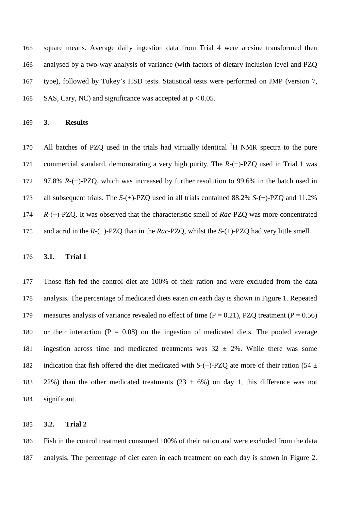square means. Average daily ingestion data from Trial 4 were arcsine transformed then analysed by a two-way analysis of variance (with factors of dietary inclusion level and PZQ type), followed by Tukey's HSD tests. Statistical tests were performed on JMP (version 7, 168 SAS, Cary, NC) and significance was accepted at  $p < 0.05$ .

**3. Results**

170 All batches of PZQ used in the trials had virtually identical  ${}^{1}H$  NMR spectra to the pure commercial standard, demonstrating a very high purity. The *R-*(−)*-*PZQ used in Trial 1 was 97.8% *R-*(−)-PZQ, which was increased by further resolution to 99.6% in the batch used in all subsequent trials. The *S-*(+)-PZQ used in all trials contained 88.2% *S-*(+)-PZQ and 11.2% *R-*(−)-PZQ. It was observed that the characteristic smell of *Rac*-PZQ was more concentrated and acrid in the *R-*(−)*-*PZQ than in the *Rac*-PZQ, whilst the *S-*(+)-PZQ had very little smell.

## **3.1. Trial 1**

 Those fish fed the control diet ate 100% of their ration and were excluded from the data analysis. The percentage of medicated diets eaten on each day is shown in Figure 1. Repeated 179 measures analysis of variance revealed no effect of time  $(P = 0.21)$ , PZQ treatment  $(P = 0.56)$ 180 or their interaction  $(P = 0.08)$  on the ingestion of medicated diets. The pooled average 181 ingestion across time and medicated treatments was  $32 \pm 2\%$ . While there was some 182 indication that fish offered the diet medicated with  $S-(+)$ -PZQ ate more of their ration (54  $\pm$ 183 22%) than the other medicated treatments  $(23 \pm 6\%)$  on day 1, this difference was not significant.

## **3.2. Trial 2**

 Fish in the control treatment consumed 100% of their ration and were excluded from the data analysis. The percentage of diet eaten in each treatment on each day is shown in Figure 2.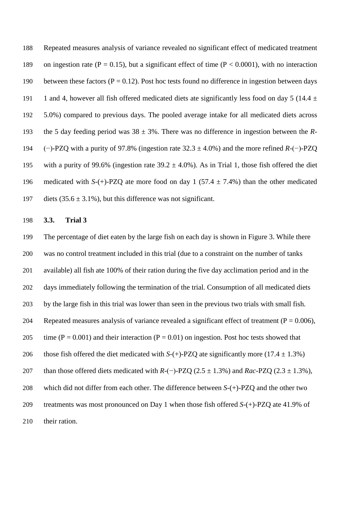188 Repeated measures analysis of variance revealed no significant effect of medicated treatment 189 on ingestion rate ( $P = 0.15$ ), but a significant effect of time ( $P < 0.0001$ ), with no interaction 190 between these factors ( $P = 0.12$ ). Post hoc tests found no difference in ingestion between days 191 1 and 4, however all fish offered medicated diets ate significantly less food on day 5 (14.4  $\pm$ 192 5.0%) compared to previous days. The pooled average intake for all medicated diets across 193 the 5 day feeding period was  $38 \pm 3\%$ . There was no difference in ingestion between the *R*-194 (−)-PZQ with a purity of 97.8% (ingestion rate 32.3 ± 4.0%) and the more refined *R-*(−)-PZQ 195 with a purity of 99.6% (ingestion rate  $39.2 \pm 4.0$ %). As in Trial 1, those fish offered the diet 196 medicated with *S-*(+)-PZQ ate more food on day 1 (57.4 ± 7.4%) than the other medicated 197 diets  $(35.6 \pm 3.1\%)$ , but this difference was not significant.

198 **3.3. Trial 3**

 The percentage of diet eaten by the large fish on each day is shown in Figure 3. While there was no control treatment included in this trial (due to a constraint on the number of tanks available) all fish ate 100% of their ration during the five day acclimation period and in the days immediately following the termination of the trial. Consumption of all medicated diets by the large fish in this trial was lower than seen in the previous two trials with small fish. 204 Repeated measures analysis of variance revealed a significant effect of treatment ( $P = 0.006$ ), 205 time ( $P = 0.001$ ) and their interaction ( $P = 0.01$ ) on ingestion. Post hoc tests showed that 206 those fish offered the diet medicated with  $S-(+)$ -PZQ ate significantly more (17.4  $\pm$  1.3%) than those offered diets medicated with *R-*(−)-PZQ (2.5 ± 1.3%) and *Rac*-PZQ (2.3 ± 1.3%), which did not differ from each other. The difference between *S-*(+)-PZQ and the other two treatments was most pronounced on Day 1 when those fish offered *S-*(+)-PZQ ate 41.9% of 210 their ration.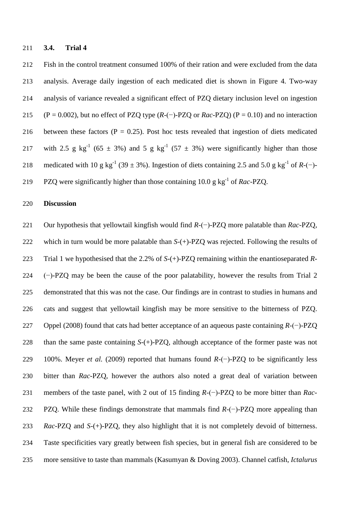#### **3.4. Trial 4**

 Fish in the control treatment consumed 100% of their ration and were excluded from the data analysis. Average daily ingestion of each medicated diet is shown in Figure 4. Two-way analysis of variance revealed a significant effect of PZQ dietary inclusion level on ingestion (P = 0.002), but no effect of PZQ type (*R-*(−)*-*PZQ or *Rac*-PZQ) (P = 0.10) and no interaction 216 between these factors  $(P = 0.25)$ . Post hoc tests revealed that ingestion of diets medicated 217 with 2.5 g kg<sup>-1</sup> (65  $\pm$  3%) and 5 g kg<sup>-1</sup> (57  $\pm$  3%) were significantly higher than those 218 medicated with 10 g kg<sup>-1</sup> (39 ± 3%). Ingestion of diets containing 2.5 and 5.0 g kg<sup>-1</sup> of *R-*(−)-219 PZQ were significantly higher than those containing 10.0 g kg<sup>-1</sup> of *Rac-PZQ*.

# **Discussion**

 Our hypothesis that yellowtail kingfish would find *R-*(−)-PZQ more palatable than *Rac*-PZQ, which in turn would be more palatable than *S-*(+)-PZQ was rejected. Following the results of Trial 1 we hypothesised that the 2.2% of *S-*(+)-PZQ remaining within the enantioseparated *R-* (−)-PZQ may be been the cause of the poor palatability, however the results from Trial 2 demonstrated that this was not the case. Our findings are in contrast to studies in humans and cats and suggest that yellowtail kingfish may be more sensitive to the bitterness of PZQ. Oppel (2008) found that cats had better acceptance of an aqueous paste containing *R-*(−)-PZQ than the same paste containing *S-*(+)-PZQ, although acceptance of the former paste was not 100%. Meyer *et al.* (2009) reported that humans found *R-*(−)-PZQ to be significantly less bitter than *Rac*-PZQ, however the authors also noted a great deal of variation between members of the taste panel, with 2 out of 15 finding *R-*(−)-PZQ to be more bitter than *Rac*- PZQ. While these findings demonstrate that mammals find *R-*(−)-PZQ more appealing than *Rac*-PZQ and *S-*(+)-PZQ, they also highlight that it is not completely devoid of bitterness. Taste specificities vary greatly between fish species, but in general fish are considered to be more sensitive to taste than mammals (Kasumyan & Doving 2003). Channel catfish, *Ictalurus*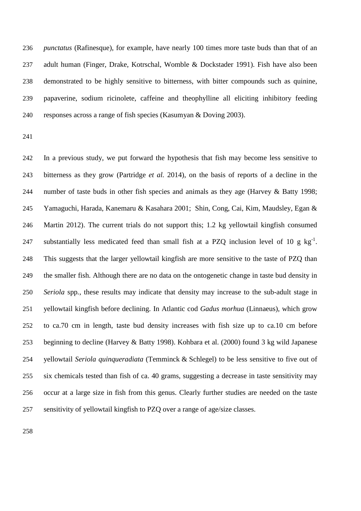*punctatus* [\(Rafinesque\)](https://en.wikipedia.org/wiki/Constantine_Samuel_Rafinesque-Schmaltz), for example, have nearly 100 times more taste buds than that of an adult human (Finger, Drake, Kotrschal, Womble & Dockstader 1991). Fish have also been demonstrated to be highly sensitive to bitterness, with bitter compounds such as quinine, papaverine, sodium ricinolete, caffeine and theophylline all eliciting inhibitory feeding responses across a range of fish species (Kasumyan & Doving 2003).

 In a previous study, we put forward the hypothesis that fish may become less sensitive to bitterness as they grow (Partridge *et al.* 2014), on the basis of reports of a decline in the number of taste buds in other fish species and animals as they age (Harvey & Batty 1998; Yamaguchi, Harada, Kanemaru & Kasahara 2001; Shin, Cong, Cai, Kim, Maudsley, Egan & Martin 2012). The current trials do not support this; 1.2 kg yellowtail kingfish consumed 247 substantially less medicated feed than small fish at a PZQ inclusion level of 10 g  $kg^{-1}$ . This suggests that the larger yellowtail kingfish are more sensitive to the taste of PZQ than the smaller fish. Although there are no data on the ontogenetic change in taste bud density in *Seriola* spp*.*, these results may indicate that density may increase to the sub-adult stage in yellowtail kingfish before declining. In Atlantic cod *Gadus morhua* [\(Linnaeus\)](https://en.wikipedia.org/wiki/Carl_Linnaeus), which grow to ca.70 cm in length, taste bud density increases with fish size up to ca.10 cm before beginning to decline (Harvey & Batty 1998). Kohbara et al. (2000) found 3 kg wild Japanese yellowtail *Seriola quinqueradiata* [\(Temminck](https://en.wikipedia.org/wiki/Coenraad_Jacob_Temminck) & [Schlegel\)](https://en.wikipedia.org/wiki/Hermann_Schlegel) to be less sensitive to five out of six chemicals tested than fish of ca. 40 grams, suggesting a decrease in taste sensitivity may occur at a large size in fish from this genus. Clearly further studies are needed on the taste sensitivity of yellowtail kingfish to PZQ over a range of age/size classes.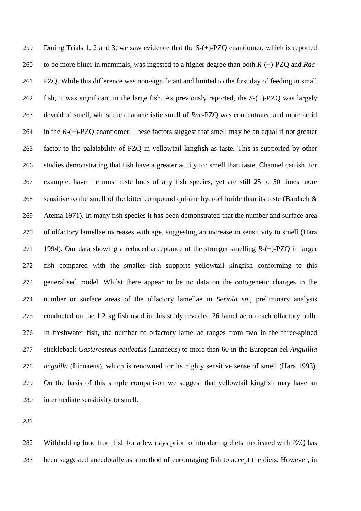During Trials 1, 2 and 3, we saw evidence that the *S-*(+)-PZQ enantiomer, which is reported to be more bitter in mammals, was ingested to a higher degree than both *R-*(−)-PZQ and *Rac*- PZQ. While this difference was non-significant and limited to the first day of feeding in small fish, it was significant in the large fish. As previously reported, the *S-*(+)-PZQ was largely devoid of smell, whilst the characteristic smell of *Rac*-PZQ was concentrated and more acrid in the *R-*(−)-PZQ enantiomer. These factors suggest that smell may be an equal if not greater factor to the palatability of PZQ in yellowtail kingfish as taste. This is supported by other studies demonstrating that fish have a greater acuity for smell than taste. Channel catfish, for example, have the most taste buds of any fish species, yet are still 25 to 50 times more 268 sensitive to the smell of the bitter compound quinine hydrochloride than its taste (Bardach  $\&$  Atema 1971). In many fish species it has been demonstrated that the number and surface area of olfactory lamellae increases with age, suggesting an increase in sensitivity to smell (Hara 1994). Our data showing a reduced acceptance of the stronger smelling *R-*(−)-PZQ in larger fish compared with the smaller fish supports yellowtail kingfish conforming to this generalised model. Whilst there appear to be no data on the ontogenetic changes in the number or surface areas of the olfactory lamellae in *Seriola sp*., preliminary analysis conducted on the 1.2 kg fish used in this study revealed 26 lamellae on each olfactory bulb. In freshwater fish, the number of olfactory lamellae ranges from two in the three-spined stickleback *Gasterosteus aculeatus* [\(Linnaeus\)](https://en.wikipedia.org/wiki/Carl_Linnaeus) to more than 60 in the European eel *Anguillia anguilla* [\(Linnaeus\)](https://en.wikipedia.org/wiki/Carl_Linnaeus), which is renowned for its highly sensitive sense of smell (Hara 1993). On the basis of this simple comparison we suggest that yellowtail kingfish may have an intermediate sensitivity to smell.

 Withholding food from fish for a few days prior to introducing diets medicated with PZQ has been suggested anecdotally as a method of encouraging fish to accept the diets. However, in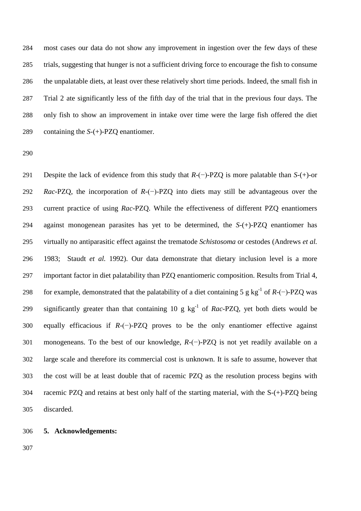most cases our data do not show any improvement in ingestion over the few days of these trials, suggesting that hunger is not a sufficient driving force to encourage the fish to consume the unpalatable diets, at least over these relatively short time periods. Indeed, the small fish in Trial 2 ate significantly less of the fifth day of the trial that in the previous four days. The only fish to show an improvement in intake over time were the large fish offered the diet containing the *S-*(+)-PZQ enantiomer.

 Despite the lack of evidence from this study that *R-*(−)-PZQ is more palatable than *S-*(+)-or *Rac*-PZQ, the incorporation of *R-*(−)-PZQ into diets may still be advantageous over the current practice of using *Rac*-PZQ. While the effectiveness of different PZQ enantiomers against monogenean parasites has yet to be determined, the *S-*(+)-PZQ enantiomer has virtually no antiparasitic effect against the trematode *Schistosoma* or cestodes (Andrews *et al.* 1983; Staudt *et al.* 1992). Our data demonstrate that dietary inclusion level is a more important factor in diet palatability than PZQ enantiomeric composition. Results from Trial 4, for example, demonstrated that the palatability of a diet containing 5 g kg<sup>-1</sup> of *R-*(−)-PZQ was 299 significantly greater than that containing 10 g  $kg^{-1}$  of *Rac-PZQ*, yet both diets would be equally efficacious if *R-*(−)-PZQ proves to be the only enantiomer effective against monogeneans. To the best of our knowledge, *R-*(−)-PZQ is not yet readily available on a large scale and therefore its commercial cost is unknown. It is safe to assume, however that the cost will be at least double that of racemic PZQ as the resolution process begins with racemic PZQ and retains at best only half of the starting material, with the S*-*(+)-PZQ being discarded.

# **5. Acknowledgements:**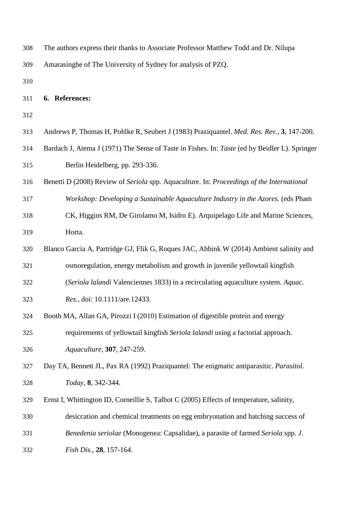| 308 | The authors express their thanks to Associate Professor Matthew Todd and Dr. Nilupa |
|-----|-------------------------------------------------------------------------------------|
| 309 | Amarasinghe of The University of Sydney for analysis of PZQ.                        |

## **6. References:**

| 313 | Andrews P, Thomas H, Pohlke R, Seubert J (1983) Praziquantel. Med. Res. Rev., 3, 147-200. |  |  |  |  |  |  |  |  |  |  |
|-----|-------------------------------------------------------------------------------------------|--|--|--|--|--|--|--|--|--|--|
|-----|-------------------------------------------------------------------------------------------|--|--|--|--|--|--|--|--|--|--|

- Bardach J, Atema J (1971) The Sense of Taste in Fishes. In: *Taste* (ed by Beidler L). Springer Berlin Heidelberg*,* pp. 293-336.
- Benetti D (2008) Review of *Seriola* spp. Aquaculture. In: *Proceedings of the International*
- *Workshop: Developing a Sustainable Aquaculture Industry in the Azores.* (eds Pham
- CK, Higgins RM, De Girolamo M, Isidro E). Arquipelago Life and Marine Sciences, Horta.
- Blanco Garcia A, Partridge GJ, Flik G, Roques JAC, Abbink W (2014) Ambient salinity and
- osmoregulation, energy metabolism and growth in juvenile yellowtail kingfish
- (*Seriola lalandi* Valenciennes 1833) in a recirculating aquaculture system. *Aquac.*
- *Res.*, doi: 10.1111/are.12433.
- Booth MA, Allan GA, Pirozzi I (2010) Estimation of digestible protein and energy

requirements of yellowtail kingfish *Seriola lalandi* using a factorial approach.

*Aquaculture,* **307**, 247-259.

 Day TA, Bennett JL, Pax RA (1992) Praziquantel: The enigmatic antiparasitic. *Parasitol. Today,* **8**, 342-344.

- Ernst I, Whittington ID, Corneillie S, Talbot C (2005) Effects of temperature, salinity,
- desiccation and chemical treatments on egg embryonation and hatching success of
- *Benedenia seriolae* (Monogenea: Capsalidae), a parasite of farmed *Seriola* spp. *J.*
- *Fish Dis.,* **28**, 157-164.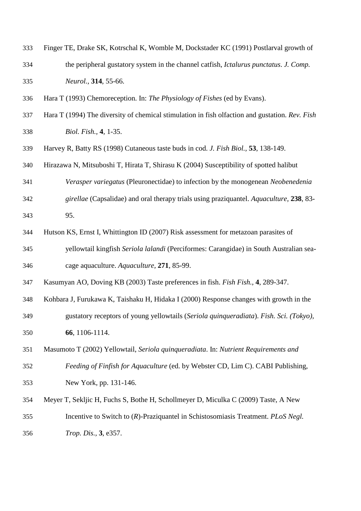- Finger TE, Drake SK, Kotrschal K, Womble M, Dockstader KC (1991) Postlarval growth of the peripheral gustatory system in the channel catfish, *Ictalurus punctatus*. *J. Comp. Neurol.,* **314**, 55-66.
- Hara T (1993) Chemoreception. In: *The Physiology of Fishes* (ed by Evans).
- Hara T (1994) The diversity of chemical stimulation in fish olfaction and gustation. *Rev. Fish Biol. Fish.,* **4**, 1-35.
- Harvey R, Batty RS (1998) Cutaneous taste buds in cod. *J. Fish Biol.,* **53**, 138-149.
- Hirazawa N, Mitsuboshi T, Hirata T, Shirasu K (2004) Susceptibility of spotted halibut
- *Verasper variegatus* (Pleuronectidae) to infection by the monogenean *Neobenedenia*
- *girellae* (Capsalidae) and oral therapy trials using praziquantel. *Aquaculture,* **238**, 83-
- 95.
- Hutson KS, Ernst I, Whittington ID (2007) Risk assessment for metazoan parasites of
- yellowtail kingfish *Seriola lalandi* (Perciformes: Carangidae) in South Australian sea-cage aquaculture. *Aquaculture,* **271**, 85-99.
- Kasumyan AO, Doving KB (2003) Taste preferences in fish. *Fish Fish.,* **4**, 289-347.
- Kohbara J, Furukawa K, Taishaku H, Hidaka I (2000) Response changes with growth in the gustatory receptors of young yellowtails (*Seriola quinqueradiata*). *Fish. Sci. (Tokyo),*
- **66**, 1106-1114.
- Masumoto T (2002) Yellowtail, *Seriola quinqueradiata*. In: *Nutrient Requirements and Feeding of Finfish for Aquaculture* (ed. by Webster CD, Lim C). CABI Publishing, New York*,* pp. 131-146.
- Meyer T, Sekljic H, Fuchs S, Bothe H, Schollmeyer D, Miculka C (2009) Taste, A New Incentive to Switch to (*R*)-Praziquantel in Schistosomiasis Treatment. *PLoS Negl.*
- *Trop. Dis.,* **3**, e357.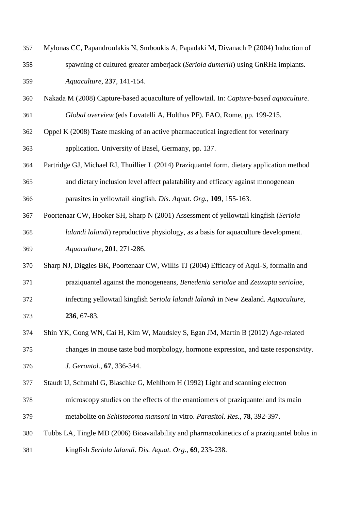- Mylonas CC, Papandroulakis N, Smboukis A, Papadaki M, Divanach P (2004) Induction of spawning of cultured greater amberjack (*Seriola dumerili*) using GnRHa implants. *Aquaculture,* **237**, 141-154.
- Nakada M (2008) Capture-based aquaculture of yellowtail. In: *Capture-based aquaculture.*
- *Global overview* (eds Lovatelli A, Holthus PF). FAO, Rome*,* pp. 199-215.
- Oppel K (2008) Taste masking of an active pharmaceutical ingredient for veterinary application. University of Basel, Germany*,* pp. 137.
- Partridge GJ, Michael RJ, Thuillier L (2014) Praziquantel form, dietary application method and dietary inclusion level affect palatability and efficacy against monogenean parasites in yellowtail kingfish. *Dis. Aquat. Org.,* **109**, 155-163.
- Poortenaar CW, Hooker SH, Sharp N (2001) Assessment of yellowtail kingfish (*Seriola lalandi lalandi*) reproductive physiology, as a basis for aquaculture development. *Aquaculture,* **201**, 271-286.
- Sharp NJ, Diggles BK, Poortenaar CW, Willis TJ (2004) Efficacy of Aqui-S, formalin and
- praziquantel against the monogeneans, *Benedenia seriolae* and *Zeuxapta seriolae*,
- infecting yellowtail kingfish *Seriola lalandi lalandi* in New Zealand. *Aquaculture,*  **236**, 67-83.
- Shin YK, Cong WN, Cai H, Kim W, Maudsley S, Egan JM, Martin B (2012) Age-related

changes in mouse taste bud morphology, hormone expression, and taste responsivity.

- *J. Gerontol.,* **67**, 336-344.
- Staudt U, Schmahl G, Blaschke G, Mehlhorn H (1992) Light and scanning electron
- microscopy studies on the effects of the enantiomers of praziquantel and its main metabolite on *Schistosoma mansoni* in vitro. *Parasitol. Res.,* **78**, 392-397.
- Tubbs LA, Tingle MD (2006) Bioavailability and pharmacokinetics of a praziquantel bolus in kingfish *Seriola lalandi*. *Dis. Aquat. Org.,* **69**, 233-238.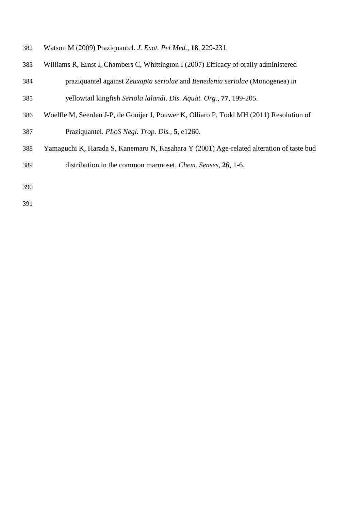- Watson M (2009) Praziquantel. *J. Exot. Pet Med.,* **18**, 229-231.
- Williams R, Ernst I, Chambers C, Whittington I (2007) Efficacy of orally administered praziquantel against *Zeuxapta seriolae* and *Benedenia seriolae* (Monogenea) in yellowtail kingfish *Seriola lalandi*. *Dis. Aquat. Org.,* **77**, 199-205.
- Woelfle M, Seerden J-P, de Gooijer J, Pouwer K, Olliaro P, Todd MH (2011) Resolution of Praziquantel. *PLoS Negl. Trop. Dis.,* **5**, e1260.
- Yamaguchi K, Harada S, Kanemaru N, Kasahara Y (2001) Age-related alteration of taste bud distribution in the common marmoset. *Chem. Senses,* **26**, 1-6.
-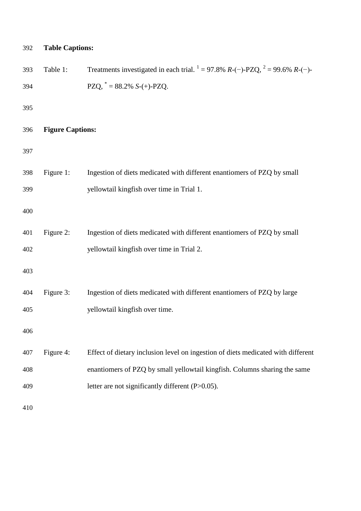| 392 | <b>Table Captions:</b>  |                                                                                      |
|-----|-------------------------|--------------------------------------------------------------------------------------|
| 393 | Table 1:                | Treatments investigated in each trial. $1 = 97.8\% R$ -(-)-PZQ, $2 = 99.6\% R$ -(-)- |
| 394 |                         | PZQ, $* = 88.2\% S-(+)$ -PZQ.                                                        |
| 395 |                         |                                                                                      |
| 396 | <b>Figure Captions:</b> |                                                                                      |
| 397 |                         |                                                                                      |
| 398 | Figure 1:               | Ingestion of diets medicated with different enantiomers of PZQ by small              |
| 399 |                         | yellowtail kingfish over time in Trial 1.                                            |
| 400 |                         |                                                                                      |
| 401 | Figure 2:               | Ingestion of diets medicated with different enantiomers of PZQ by small              |
| 402 |                         | yellowtail kingfish over time in Trial 2.                                            |
| 403 |                         |                                                                                      |
| 404 | Figure 3:               | Ingestion of diets medicated with different enantiomers of PZQ by large              |
| 405 |                         | yellowtail kingfish over time.                                                       |
| 406 |                         |                                                                                      |
| 407 | Figure 4:               | Effect of dietary inclusion level on ingestion of diets medicated with different     |
| 408 |                         | enantiomers of PZQ by small yellowtail kingfish. Columns sharing the same            |
| 409 |                         | letter are not significantly different (P>0.05).                                     |
| 410 |                         |                                                                                      |